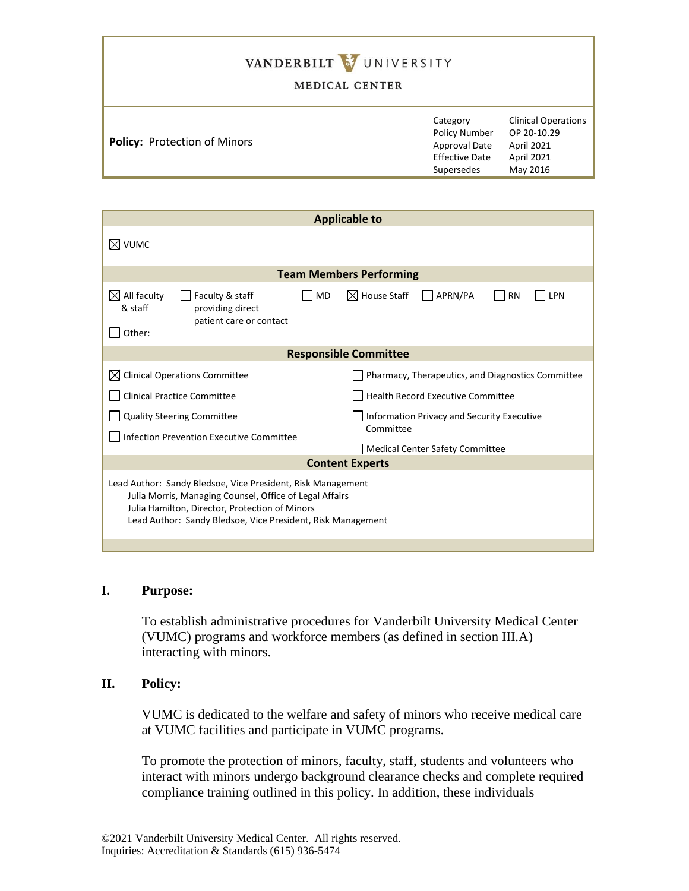# VANDERBILT WUNIVERSITY

#### MEDICAL CENTER

| <b>Policy: Protection of Minors</b> | Category<br><b>Policy Number</b><br>Approval Date<br><b>Effective Date</b><br>Supersedes | <b>Clinical Operations</b><br>OP 20-10.29<br>April 2021<br>April 2021<br>May 2016 |
|-------------------------------------|------------------------------------------------------------------------------------------|-----------------------------------------------------------------------------------|
|                                     |                                                                                          |                                                                                   |

| <b>Applicable to</b>                                                                                                                                                                  |  |  |  |
|---------------------------------------------------------------------------------------------------------------------------------------------------------------------------------------|--|--|--|
|                                                                                                                                                                                       |  |  |  |
| <b>Team Members Performing</b>                                                                                                                                                        |  |  |  |
| $\boxtimes$ House Staff<br>APRN/PA<br><b>RN</b><br>LPN                                                                                                                                |  |  |  |
| <b>Responsible Committee</b>                                                                                                                                                          |  |  |  |
| Pharmacy, Therapeutics, and Diagnostics Committee                                                                                                                                     |  |  |  |
| <b>Health Record Executive Committee</b>                                                                                                                                              |  |  |  |
| <b>Information Privacy and Security Executive</b><br>Committee                                                                                                                        |  |  |  |
| <b>Medical Center Safety Committee</b>                                                                                                                                                |  |  |  |
| <b>Content Experts</b>                                                                                                                                                                |  |  |  |
| Lead Author: Sandy Bledsoe, Vice President, Risk Management<br>Julia Morris, Managing Counsel, Office of Legal Affairs<br>Lead Author: Sandy Bledsoe, Vice President, Risk Management |  |  |  |
|                                                                                                                                                                                       |  |  |  |

## **I. Purpose:**

To establish administrative procedures for Vanderbilt University Medical Center (VUMC) programs and workforce members (as defined in section III.A) interacting with minors.

#### **II. Policy:**

VUMC is dedicated to the welfare and safety of minors who receive medical care at VUMC facilities and participate in VUMC programs.

To promote the protection of minors, faculty, staff, students and volunteers who interact with minors undergo background clearance checks and complete required compliance training outlined in this policy. In addition, these individuals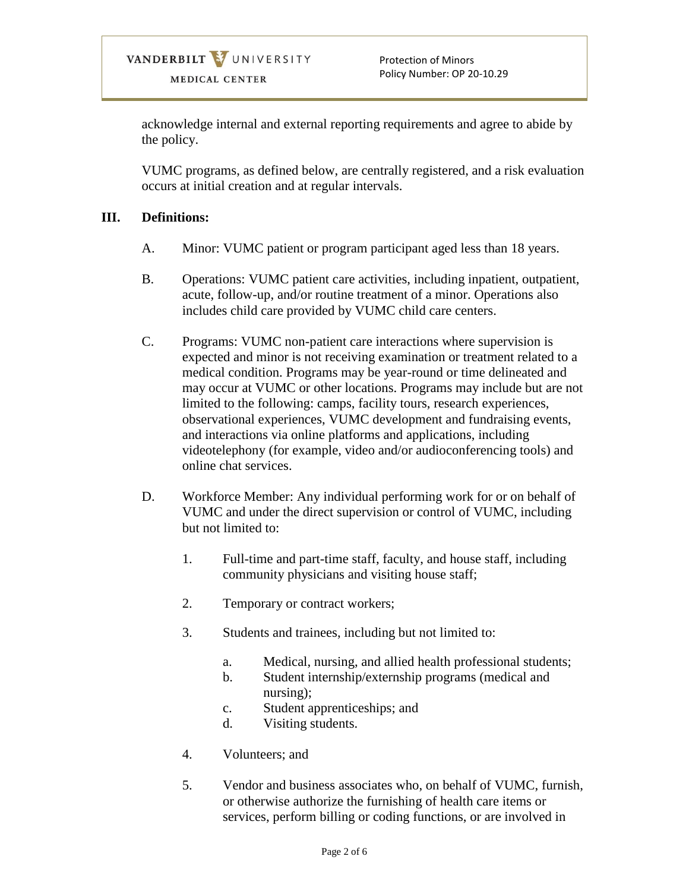Protection of Minors Policy Number: OP 20-10.29

acknowledge internal and external reporting requirements and agree to abide by the policy.

VUMC programs, as defined below, are centrally registered, and a risk evaluation occurs at initial creation and at regular intervals.

## **III. Definitions:**

- A. Minor: VUMC patient or program participant aged less than 18 years.
- B. Operations: VUMC patient care activities, including inpatient, outpatient, acute, follow-up, and/or routine treatment of a minor. Operations also includes child care provided by VUMC child care centers.
- C. Programs: VUMC non-patient care interactions where supervision is expected and minor is not receiving examination or treatment related to a medical condition. Programs may be year-round or time delineated and may occur at VUMC or other locations. Programs may include but are not limited to the following: camps, facility tours, research experiences, observational experiences, VUMC development and fundraising events, and interactions via online platforms and applications, including videotelephony (for example, video and/or audioconferencing tools) and online chat services.
- D. Workforce Member: Any individual performing work for or on behalf of VUMC and under the direct supervision or control of VUMC, including but not limited to:
	- 1. Full-time and part-time staff, faculty, and house staff, including community physicians and visiting house staff;
	- 2. Temporary or contract workers;
	- 3. Students and trainees, including but not limited to:
		- a. Medical, nursing, and allied health professional students;
		- b. Student internship/externship programs (medical and nursing);
		- c. Student apprenticeships; and
		- d. Visiting students.
	- 4. Volunteers; and
	- 5. Vendor and business associates who, on behalf of VUMC, furnish, or otherwise authorize the furnishing of health care items or services, perform billing or coding functions, or are involved in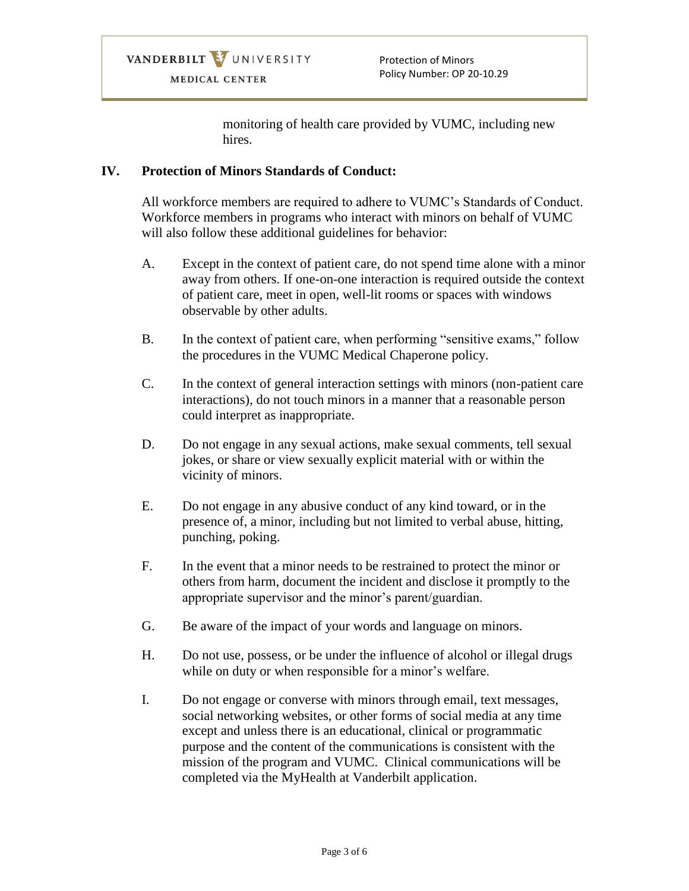monitoring of health care provided by VUMC, including new hires.

#### **IV. Protection of Minors Standards of Conduct:**

All workforce members are required to adhere to VUMC's Standards of Conduct. Workforce members in programs who interact with minors on behalf of VUMC will also follow these additional guidelines for behavior:

- A. Except in the context of patient care, do not spend time alone with a minor away from others. If one-on-one interaction is required outside the context of patient care, meet in open, well-lit rooms or spaces with windows observable by other adults.
- B. In the context of patient care, when performing "sensitive exams," follow the procedures in the VUMC Medical Chaperone policy.
- C. In the context of general interaction settings with minors (non-patient care interactions), do not touch minors in a manner that a reasonable person could interpret as inappropriate.
- D. Do not engage in any sexual actions, make sexual comments, tell sexual jokes, or share or view sexually explicit material with or within the vicinity of minors.
- E. Do not engage in any abusive conduct of any kind toward, or in the presence of, a minor, including but not limited to verbal abuse, hitting, punching, poking.
- F. In the event that a minor needs to be restrained to protect the minor or others from harm, document the incident and disclose it promptly to the appropriate supervisor and the minor's parent/guardian.
- G. Be aware of the impact of your words and language on minors.
- H. Do not use, possess, or be under the influence of alcohol or illegal drugs while on duty or when responsible for a minor's welfare.
- I. Do not engage or converse with minors through email, text messages, social networking websites, or other forms of social media at any time except and unless there is an educational, clinical or programmatic purpose and the content of the communications is consistent with the mission of the program and VUMC. Clinical communications will be completed via the MyHealth at Vanderbilt application.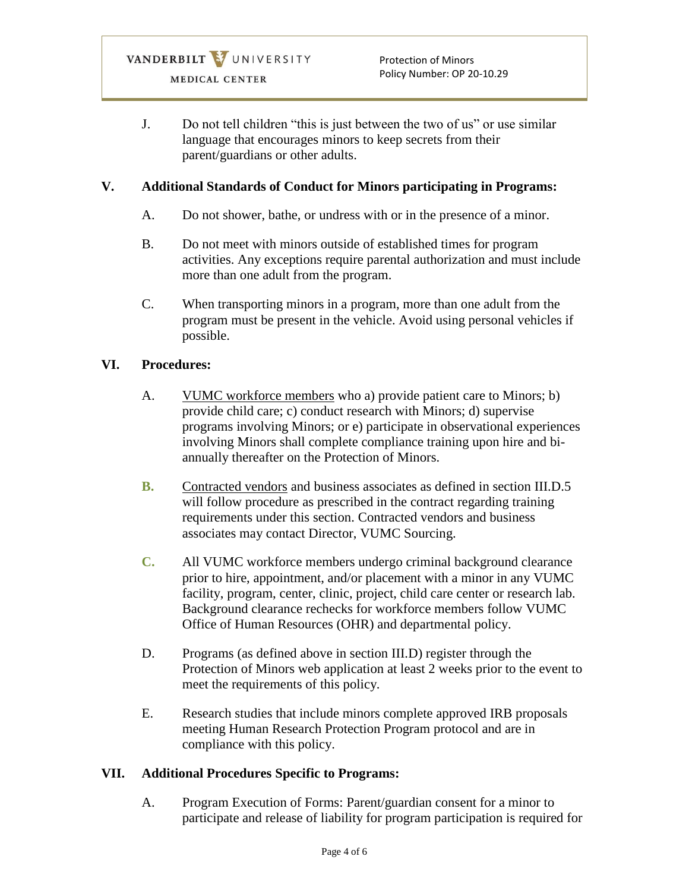J. Do not tell children "this is just between the two of us" or use similar language that encourages minors to keep secrets from their parent/guardians or other adults.

## **V. Additional Standards of Conduct for Minors participating in Programs:**

- A. Do not shower, bathe, or undress with or in the presence of a minor.
- B. Do not meet with minors outside of established times for program activities. Any exceptions require parental authorization and must include more than one adult from the program.
- C. When transporting minors in a program, more than one adult from the program must be present in the vehicle. Avoid using personal vehicles if possible.

## **VI. Procedures:**

- A. VUMC workforce members who a) provide patient care to Minors; b) provide child care; c) conduct research with Minors; d) supervise programs involving Minors; or e) participate in observational experiences involving Minors shall complete compliance training upon hire and biannually thereafter on the Protection of Minors.
- **B.** Contracted vendors and business associates as defined in section III.D.5 will follow procedure as prescribed in the contract regarding training requirements under this section. Contracted vendors and business associates may contact Director, VUMC Sourcing.
- **C.** All VUMC workforce members undergo criminal background clearance prior to hire, appointment, and/or placement with a minor in any VUMC facility, program, center, clinic, project, child care center or research lab. Background clearance rechecks for workforce members follow VUMC Office of Human Resources (OHR) and departmental policy.
- D. Programs (as defined above in section III.D) register through the Protection of Minors web application at least 2 weeks prior to the event to meet the requirements of this policy.
- E. Research studies that include minors complete approved IRB proposals meeting Human Research Protection Program protocol and are in compliance with this policy.

## **VII. Additional Procedures Specific to Programs:**

A. Program Execution of Forms: Parent/guardian consent for a minor to participate and release of liability for program participation is required for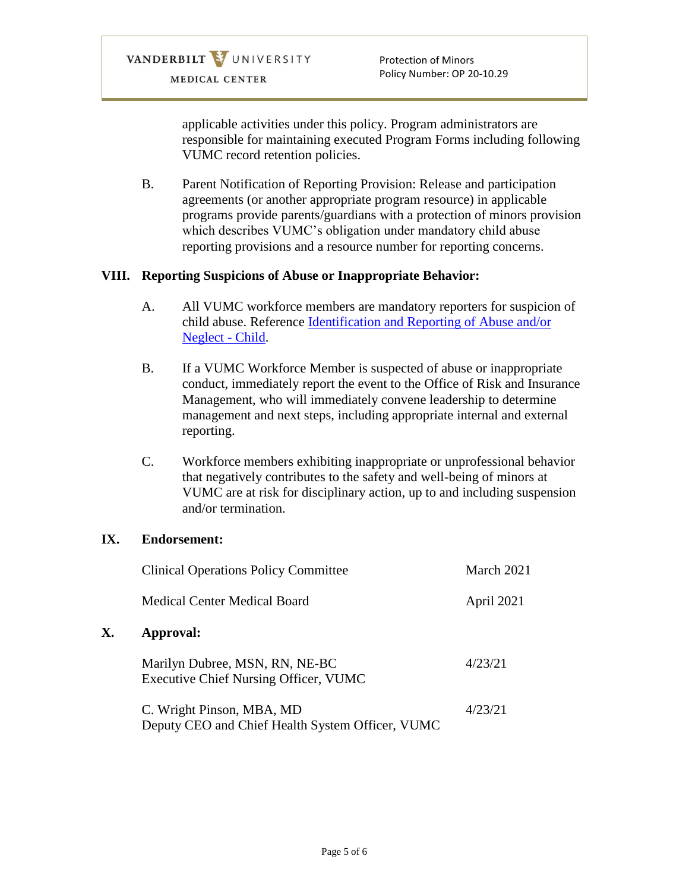applicable activities under this policy. Program administrators are responsible for maintaining executed Program Forms including following VUMC record retention policies.

B. Parent Notification of Reporting Provision: Release and participation agreements (or another appropriate program resource) in applicable programs provide parents/guardians with a protection of minors provision which describes VUMC's obligation under mandatory child abuse reporting provisions and a resource number for reporting concerns.

## **VIII. Reporting Suspicions of Abuse or Inappropriate Behavior:**

- A. All VUMC workforce members are mandatory reporters for suspicion of child abuse. Reference [Identification and Reporting of Abuse and/or](https://vanderbilt.policytech.com/docview/?docid=16315)  [Neglect -](https://vanderbilt.policytech.com/docview/?docid=16315) Child.
- B. If a VUMC Workforce Member is suspected of abuse or inappropriate conduct, immediately report the event to the Office of Risk and Insurance Management, who will immediately convene leadership to determine management and next steps, including appropriate internal and external reporting.
- C. Workforce members exhibiting inappropriate or unprofessional behavior that negatively contributes to the safety and well-being of minors at VUMC are at risk for disciplinary action, up to and including suspension and/or termination.

#### **IX. Endorsement:**

**X. Approval:**

| <b>Clinical Operations Policy Committee</b>                                    | March 2021 |
|--------------------------------------------------------------------------------|------------|
| Medical Center Medical Board                                                   | April 2021 |
| Approval:                                                                      |            |
| Marilyn Dubree, MSN, RN, NE-BC<br><b>Executive Chief Nursing Officer, VUMC</b> | 4/23/21    |
| C. Wright Pinson, MBA, MD<br>Deputy CEO and Chief Health System Officer, VUMC  | 4/23/21    |